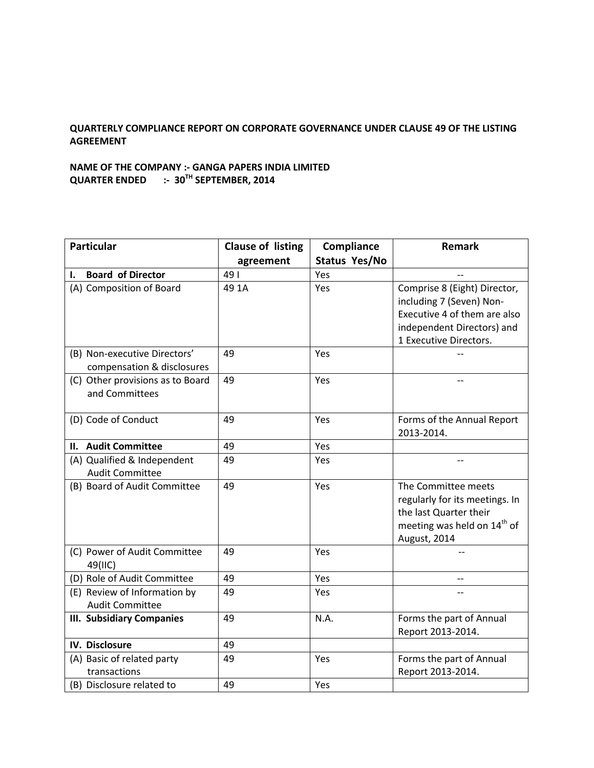## **QUARTERLY COMPLIANCE REPORT ON CORPORATE GOVERNANCE UNDER CLAUSE 49 OF THE LISTING AGREEMENT**

## **NAME OF THE COMPANY :- GANGA PAPERS INDIA LIMITED QUARTER ENDED :- 30TH SEPTEMBER, 2014**

| <b>Particular</b>                                          | <b>Clause of listing</b> | Compliance    | <b>Remark</b>                                                                                                                                    |
|------------------------------------------------------------|--------------------------|---------------|--------------------------------------------------------------------------------------------------------------------------------------------------|
|                                                            | agreement                | Status Yes/No |                                                                                                                                                  |
| <b>Board of Director</b><br>ı.                             | 491                      | Yes           |                                                                                                                                                  |
| (A) Composition of Board                                   | 49 1A                    | Yes           | Comprise 8 (Eight) Director,<br>including 7 (Seven) Non-<br>Executive 4 of them are also<br>independent Directors) and<br>1 Executive Directors. |
| (B) Non-executive Directors'<br>compensation & disclosures | 49                       | Yes           |                                                                                                                                                  |
| (C) Other provisions as to Board<br>and Committees         | 49                       | Yes           |                                                                                                                                                  |
| (D) Code of Conduct                                        | 49                       | Yes           | Forms of the Annual Report<br>2013-2014.                                                                                                         |
| II. Audit Committee                                        | 49                       | Yes           |                                                                                                                                                  |
| (A) Qualified & Independent<br><b>Audit Committee</b>      | 49                       | Yes           |                                                                                                                                                  |
| (B) Board of Audit Committee                               | 49                       | Yes           | The Committee meets<br>regularly for its meetings. In<br>the last Quarter their<br>meeting was held on 14 <sup>th</sup> of<br>August, 2014       |
| (C) Power of Audit Committee<br>49(IIC)                    | 49                       | Yes           |                                                                                                                                                  |
| (D) Role of Audit Committee                                | 49                       | Yes           |                                                                                                                                                  |
| (E) Review of Information by<br><b>Audit Committee</b>     | 49                       | Yes           |                                                                                                                                                  |
| <b>III. Subsidiary Companies</b>                           | 49                       | N.A.          | Forms the part of Annual<br>Report 2013-2014.                                                                                                    |
| IV. Disclosure                                             | 49                       |               |                                                                                                                                                  |
| (A) Basic of related party<br>transactions                 | 49                       | Yes           | Forms the part of Annual<br>Report 2013-2014.                                                                                                    |
| (B) Disclosure related to                                  | 49                       | Yes           |                                                                                                                                                  |